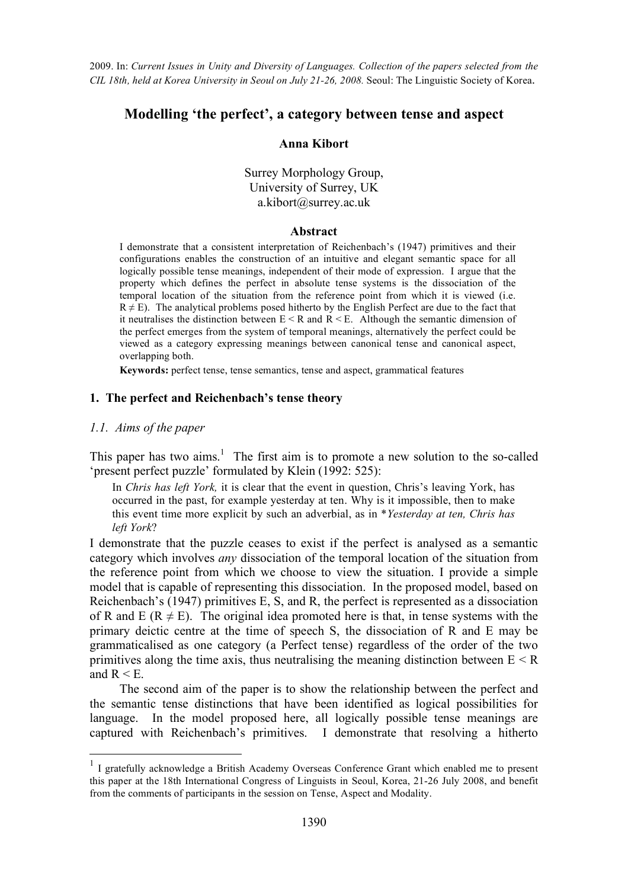# **Modelling 'the perfect', a category between tense and aspect**

#### **Anna Kibort**

Surrey Morphology Group, University of Surrey, UK a.kibort@surrey.ac.uk

#### **Abstract**

I demonstrate that a consistent interpretation of Reichenbach's (1947) primitives and their configurations enables the construction of an intuitive and elegant semantic space for all logically possible tense meanings, independent of their mode of expression. I argue that the property which defines the perfect in absolute tense systems is the dissociation of the temporal location of the situation from the reference point from which it is viewed (i.e.  $R \neq E$ ). The analytical problems posed hitherto by the English Perfect are due to the fact that it neutralises the distinction between  $E < R$  and  $R < E$ . Although the semantic dimension of the perfect emerges from the system of temporal meanings, alternatively the perfect could be viewed as a category expressing meanings between canonical tense and canonical aspect, overlapping both.

**Keywords:** perfect tense, tense semantics, tense and aspect, grammatical features

# **1. The perfect and Reichenbach's tense theory**

### *1.1. Aims of the paper*

This paper has two aims.<sup>1</sup> The first aim is to promote a new solution to the so-called 'present perfect puzzle' formulated by Klein (1992: 525):

In *Chris has left York,* it is clear that the event in question, Chris's leaving York, has occurred in the past, for example yesterday at ten. Why is it impossible, then to make this event time more explicit by such an adverbial, as in \**Yesterday at ten, Chris has left York*?

I demonstrate that the puzzle ceases to exist if the perfect is analysed as a semantic category which involves *any* dissociation of the temporal location of the situation from the reference point from which we choose to view the situation. I provide a simple model that is capable of representing this dissociation. In the proposed model, based on Reichenbach's (1947) primitives E, S, and R, the perfect is represented as a dissociation of R and E ( $R \neq E$ ). The original idea promoted here is that, in tense systems with the primary deictic centre at the time of speech S, the dissociation of R and E may be grammaticalised as one category (a Perfect tense) regardless of the order of the two primitives along the time axis, thus neutralising the meaning distinction between  $E \leq R$ and  $R < E$ .

The second aim of the paper is to show the relationship between the perfect and the semantic tense distinctions that have been identified as logical possibilities for language. In the model proposed here, all logically possible tense meanings are captured with Reichenbach's primitives. I demonstrate that resolving a hitherto

<sup>&</sup>lt;sup>1</sup> I gratefully acknowledge a British Academy Overseas Conference Grant which enabled me to present this paper at the 18th International Congress of Linguists in Seoul, Korea, 21-26 July 2008, and benefit from the comments of participants in the session on Tense, Aspect and Modality.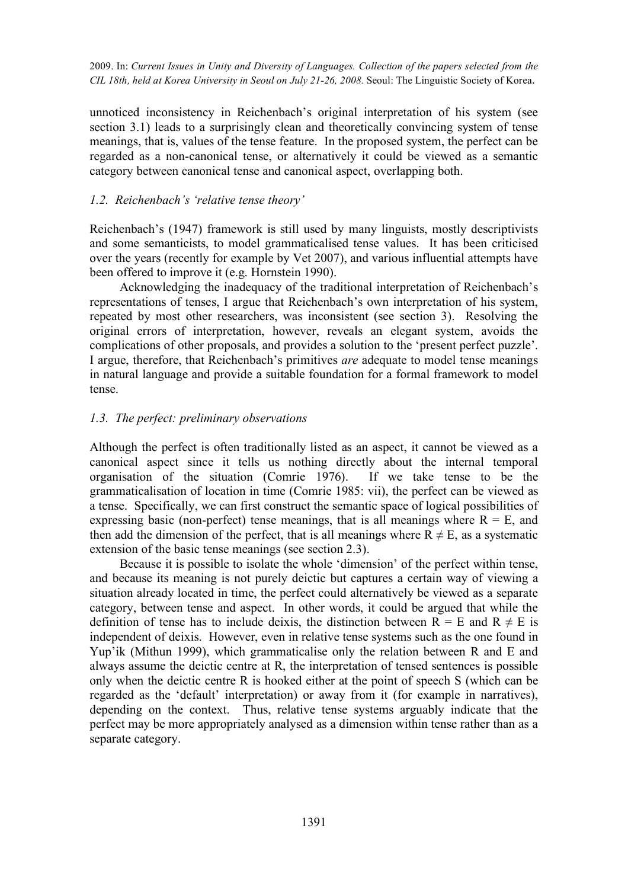unnoticed inconsistency in Reichenbach's original interpretation of his system (see section 3.1) leads to a surprisingly clean and theoretically convincing system of tense meanings, that is, values of the tense feature. In the proposed system, the perfect can be regarded as a non-canonical tense, or alternatively it could be viewed as a semantic category between canonical tense and canonical aspect, overlapping both.

### *1.2. Reichenbach's 'relative tense theory'*

Reichenbach's (1947) framework is still used by many linguists, mostly descriptivists and some semanticists, to model grammaticalised tense values. It has been criticised over the years (recently for example by Vet 2007), and various influential attempts have been offered to improve it (e.g. Hornstein 1990).

Acknowledging the inadequacy of the traditional interpretation of Reichenbach's representations of tenses, I argue that Reichenbach's own interpretation of his system, repeated by most other researchers, was inconsistent (see section 3). Resolving the original errors of interpretation, however, reveals an elegant system, avoids the complications of other proposals, and provides a solution to the 'present perfect puzzle'. I argue, therefore, that Reichenbach's primitives *are* adequate to model tense meanings in natural language and provide a suitable foundation for a formal framework to model tense.

### *1.3. The perfect: preliminary observations*

Although the perfect is often traditionally listed as an aspect, it cannot be viewed as a canonical aspect since it tells us nothing directly about the internal temporal organisation of the situation (Comrie 1976). If we take tense to be the grammaticalisation of location in time (Comrie 1985: vii), the perfect can be viewed as a tense. Specifically, we can first construct the semantic space of logical possibilities of expressing basic (non-perfect) tense meanings, that is all meanings where  $R = E$ , and then add the dimension of the perfect, that is all meanings where  $R \neq E$ , as a systematic extension of the basic tense meanings (see section 2.3).

Because it is possible to isolate the whole 'dimension' of the perfect within tense, and because its meaning is not purely deictic but captures a certain way of viewing a situation already located in time, the perfect could alternatively be viewed as a separate category, between tense and aspect. In other words, it could be argued that while the definition of tense has to include deixis, the distinction between  $R = E$  and  $R \neq E$  is independent of deixis. However, even in relative tense systems such as the one found in Yup'ik (Mithun 1999), which grammaticalise only the relation between R and E and always assume the deictic centre at R, the interpretation of tensed sentences is possible only when the deictic centre R is hooked either at the point of speech S (which can be regarded as the 'default' interpretation) or away from it (for example in narratives), depending on the context. Thus, relative tense systems arguably indicate that the perfect may be more appropriately analysed as a dimension within tense rather than as a separate category.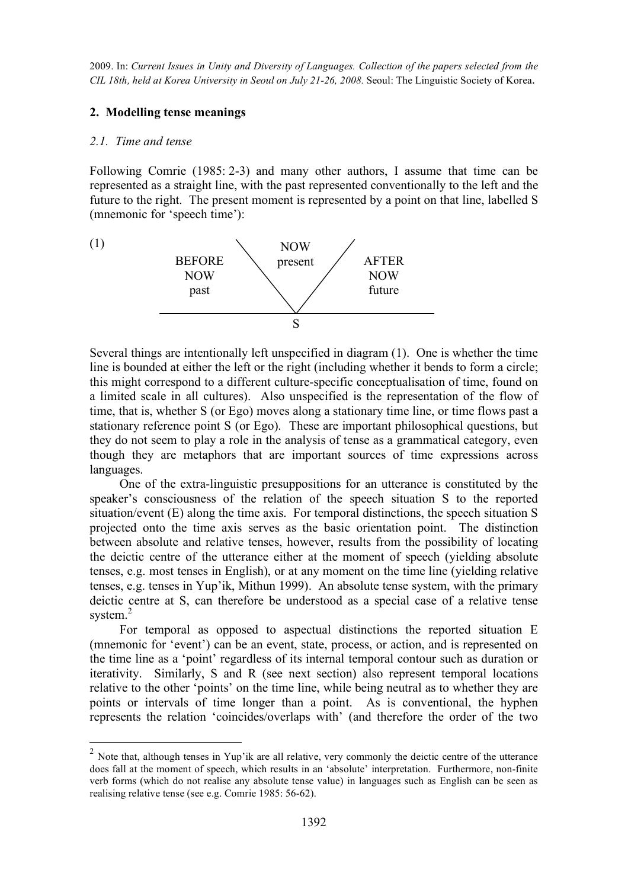## **2. Modelling tense meanings**

#### *2.1. Time and tense*

Following Comrie (1985: 2-3) and many other authors, I assume that time can be represented as a straight line, with the past represented conventionally to the left and the future to the right. The present moment is represented by a point on that line, labelled S (mnemonic for 'speech time'):

(1)



Several things are intentionally left unspecified in diagram (1). One is whether the time line is bounded at either the left or the right (including whether it bends to form a circle; this might correspond to a different culture-specific conceptualisation of time, found on a limited scale in all cultures). Also unspecified is the representation of the flow of time, that is, whether S (or Ego) moves along a stationary time line, or time flows past a stationary reference point S (or Ego). These are important philosophical questions, but they do not seem to play a role in the analysis of tense as a grammatical category, even though they are metaphors that are important sources of time expressions across languages.

One of the extra-linguistic presuppositions for an utterance is constituted by the speaker's consciousness of the relation of the speech situation S to the reported situation/event (E) along the time axis. For temporal distinctions, the speech situation S projected onto the time axis serves as the basic orientation point. The distinction between absolute and relative tenses, however, results from the possibility of locating the deictic centre of the utterance either at the moment of speech (yielding absolute tenses, e.g. most tenses in English), or at any moment on the time line (yielding relative tenses, e.g. tenses in Yup'ik, Mithun 1999). An absolute tense system, with the primary deictic centre at S, can therefore be understood as a special case of a relative tense system.<sup>2</sup>

For temporal as opposed to aspectual distinctions the reported situation E (mnemonic for 'event') can be an event, state, process, or action, and is represented on the time line as a 'point' regardless of its internal temporal contour such as duration or iterativity. Similarly, S and R (see next section) also represent temporal locations relative to the other 'points' on the time line, while being neutral as to whether they are points or intervals of time longer than a point. As is conventional, the hyphen represents the relation 'coincides/overlaps with' (and therefore the order of the two

<sup>&</sup>lt;sup>2</sup> Note that, although tenses in Yup'ik are all relative, very commonly the deictic centre of the utterance does fall at the moment of speech, which results in an 'absolute' interpretation. Furthermore, non-finite verb forms (which do not realise any absolute tense value) in languages such as English can be seen as realising relative tense (see e.g. Comrie 1985: 56-62).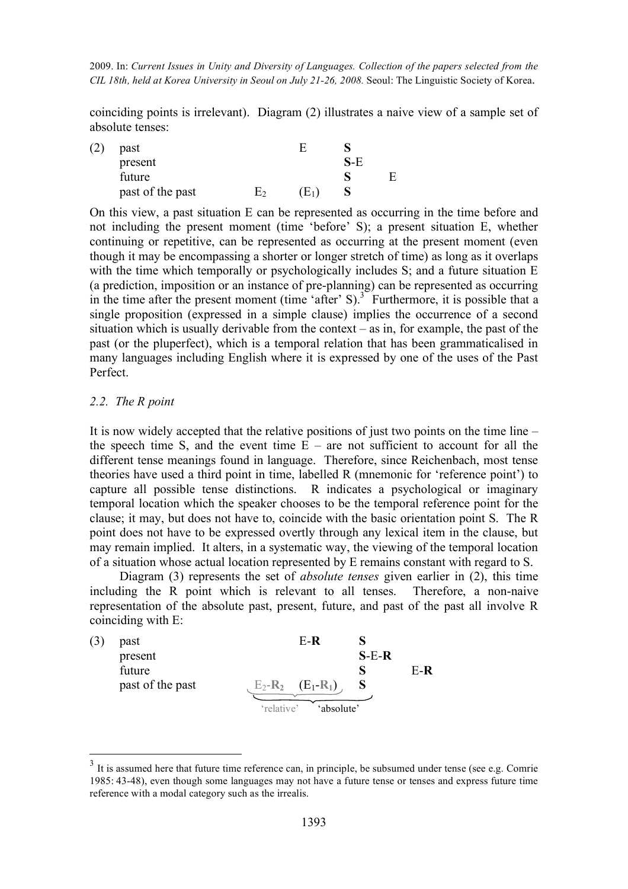coinciding points is irrelevant). Diagram (2) illustrates a naive view of a sample set of absolute tenses:

| (2) | past             | н     |     |   |
|-----|------------------|-------|-----|---|
|     | present          |       | S-E |   |
|     | future           |       |     | E |
|     | past of the past | $E_1$ |     |   |

On this view, a past situation E can be represented as occurring in the time before and not including the present moment (time 'before' S); a present situation E, whether continuing or repetitive, can be represented as occurring at the present moment (even though it may be encompassing a shorter or longer stretch of time) as long as it overlaps with the time which temporally or psychologically includes S; and a future situation E (a prediction, imposition or an instance of pre-planning) can be represented as occurring in the time after the present moment (time 'after' S).<sup>3</sup> Furthermore, it is possible that a single proposition (expressed in a simple clause) implies the occurrence of a second situation which is usually derivable from the context – as in, for example, the past of the past (or the pluperfect), which is a temporal relation that has been grammaticalised in many languages including English where it is expressed by one of the uses of the Past Perfect.

#### *2.2. The R point*

It is now widely accepted that the relative positions of just two points on the time line – the speech time S, and the event time  $E -$  are not sufficient to account for all the different tense meanings found in language. Therefore, since Reichenbach, most tense theories have used a third point in time, labelled R (mnemonic for 'reference point') to capture all possible tense distinctions. R indicates a psychological or imaginary temporal location which the speaker chooses to be the temporal reference point for the clause; it may, but does not have to, coincide with the basic orientation point S. The R point does not have to be expressed overtly through any lexical item in the clause, but may remain implied. It alters, in a systematic way, the viewing of the temporal location of a situation whose actual location represented by E remains constant with regard to S.

Diagram (3) represents the set of *absolute tenses* given earlier in (2), this time including the R point which is relevant to all tenses. Therefore, a non-naive representation of the absolute past, present, future, and past of the past all involve R coinciding with E:

| past             | $E-R$                    |         |       |
|------------------|--------------------------|---------|-------|
| present          |                          | $S-E-R$ |       |
| future           |                          |         | $E-R$ |
| past of the past | $E_2-R_2$ $(E_1-R_1)$    |         |       |
|                  | 'relative'<br>'absolute' |         |       |

<sup>&</sup>lt;sup>3</sup> It is assumed here that future time reference can, in principle, be subsumed under tense (see e.g. Comrie 1985: 43-48), even though some languages may not have a future tense or tenses and express future time reference with a modal category such as the irrealis.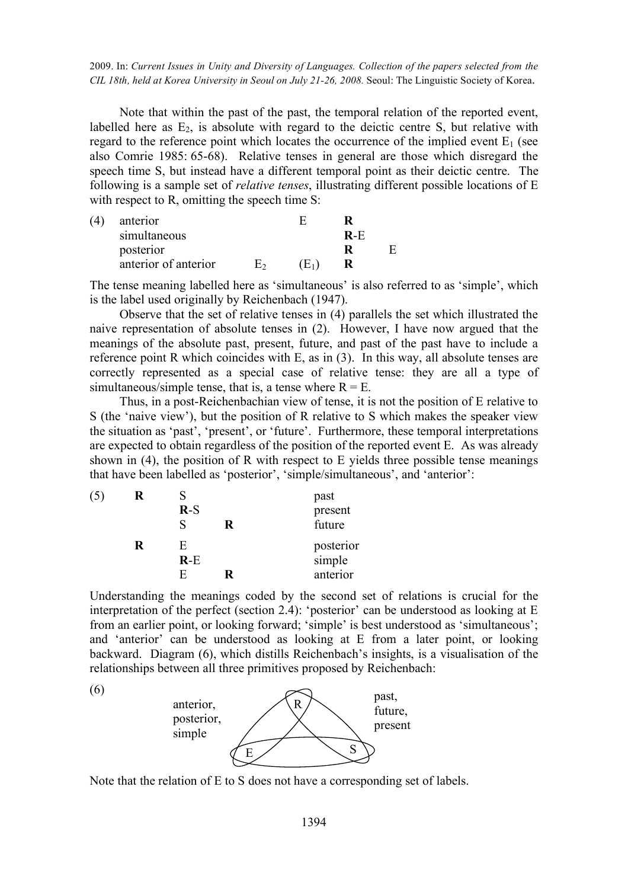Note that within the past of the past, the temporal relation of the reported event, labelled here as  $E_2$ , is absolute with regard to the deictic centre S, but relative with regard to the reference point which locates the occurrence of the implied event  $E_1$  (see also Comrie 1985: 65-68). Relative tenses in general are those which disregard the speech time S, but instead have a different temporal point as their deictic centre. The following is a sample set of *relative tenses*, illustrating different possible locations of E with respect to R, omitting the speech time S:

| (4) | anterior             |       |     |  |
|-----|----------------------|-------|-----|--|
|     | simultaneous         |       | R-E |  |
|     | posterior            |       |     |  |
|     | anterior of anterior | $E_1$ |     |  |

The tense meaning labelled here as 'simultaneous' is also referred to as 'simple', which is the label used originally by Reichenbach (1947).

Observe that the set of relative tenses in (4) parallels the set which illustrated the naive representation of absolute tenses in (2). However, I have now argued that the meanings of the absolute past, present, future, and past of the past have to include a reference point R which coincides with E, as in (3). In this way, all absolute tenses are correctly represented as a special case of relative tense: they are all a type of simultaneous/simple tense, that is, a tense where  $R = E$ .

Thus, in a post-Reichenbachian view of tense, it is not the position of E relative to S (the 'naive view'), but the position of R relative to S which makes the speaker view the situation as 'past', 'present', or 'future'. Furthermore, these temporal interpretations are expected to obtain regardless of the position of the reported event E. As was already shown in (4), the position of R with respect to E yields three possible tense meanings that have been labelled as 'posterior', 'simple/simultaneous', and 'anterior':

| (5) | R | $R-S$       | R | past<br>present<br>future |  |
|-----|---|-------------|---|---------------------------|--|
|     | R | E.<br>$R-E$ |   | posterior<br>simple       |  |
|     |   | F           |   | anterior                  |  |

Understanding the meanings coded by the second set of relations is crucial for the interpretation of the perfect (section 2.4): 'posterior' can be understood as looking at E from an earlier point, or looking forward; 'simple' is best understood as 'simultaneous'; and 'anterior' can be understood as looking at E from a later point, or looking backward. Diagram (6), which distills Reichenbach's insights, is a visualisation of the relationships between all three primitives proposed by Reichenbach:

(6)



Note that the relation of E to S does not have a corresponding set of labels.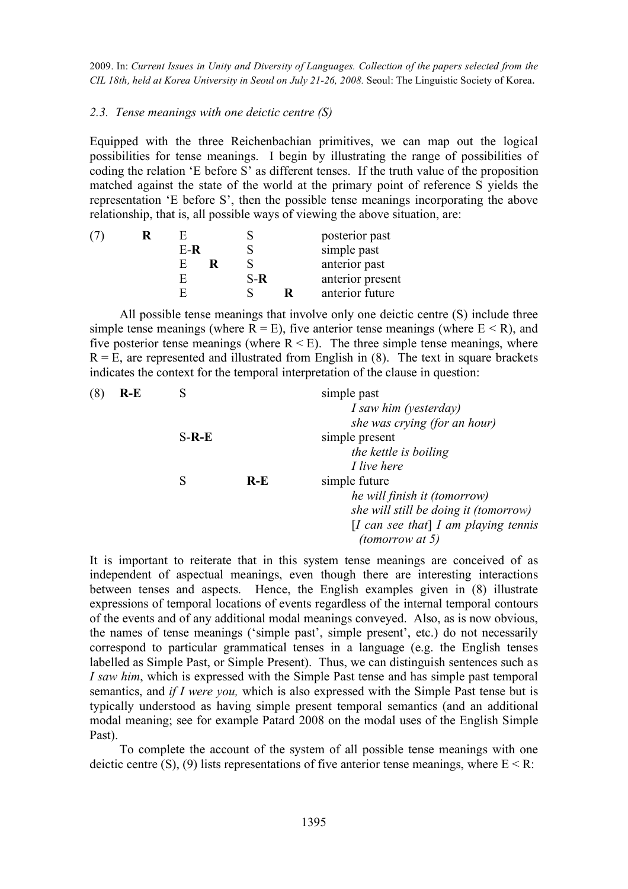## *2.3. Tense meanings with one deictic centre (S)*

Equipped with the three Reichenbachian primitives, we can map out the logical possibilities for tense meanings. I begin by illustrating the range of possibilities of coding the relation 'E before S' as different tenses. If the truth value of the proposition matched against the state of the world at the primary point of reference S yields the representation 'E before S', then the possible tense meanings incorporating the above relationship, that is, all possible ways of viewing the above situation, are:

|  |     |     | posterior past   |
|--|-----|-----|------------------|
|  | E-R |     | simple past      |
|  |     |     | anterior past    |
|  |     | S-R | anterior present |
|  |     |     | anterior future  |

All possible tense meanings that involve only one deictic centre (S) include three simple tense meanings (where  $R = E$ ), five anterior tense meanings (where  $E \le R$ ), and five posterior tense meanings (where  $R \le E$ ). The three simple tense meanings, where  $R = E$ , are represented and illustrated from English in (8). The text in square brackets indicates the context for the temporal interpretation of the clause in question:

| (8) | $R-E$ |         |       | simple past                           |
|-----|-------|---------|-------|---------------------------------------|
|     |       |         |       | I saw him (yesterday)                 |
|     |       |         |       | she was crying (for an hour)          |
|     |       | $S-R-E$ |       | simple present                        |
|     |       |         |       | the kettle is boiling                 |
|     |       |         |       | I live here                           |
|     |       | S       | $R-E$ | simple future                         |
|     |       |         |       | he will finish it (tomorrow)          |
|     |       |         |       | she will still be doing it (tomorrow) |
|     |       |         |       | [I can see that] I am playing tennis  |
|     |       |         |       | (tomorrow at 5)                       |

It is important to reiterate that in this system tense meanings are conceived of as independent of aspectual meanings, even though there are interesting interactions between tenses and aspects. Hence, the English examples given in (8) illustrate expressions of temporal locations of events regardless of the internal temporal contours of the events and of any additional modal meanings conveyed. Also, as is now obvious, the names of tense meanings ('simple past', simple present', etc.) do not necessarily correspond to particular grammatical tenses in a language (e.g. the English tenses labelled as Simple Past, or Simple Present). Thus, we can distinguish sentences such as *I saw him*, which is expressed with the Simple Past tense and has simple past temporal semantics, and *if I were you,* which is also expressed with the Simple Past tense but is typically understood as having simple present temporal semantics (and an additional modal meaning; see for example Patard 2008 on the modal uses of the English Simple Past).

To complete the account of the system of all possible tense meanings with one deictic centre (S), (9) lists representations of five anterior tense meanings, where  $E < R$ :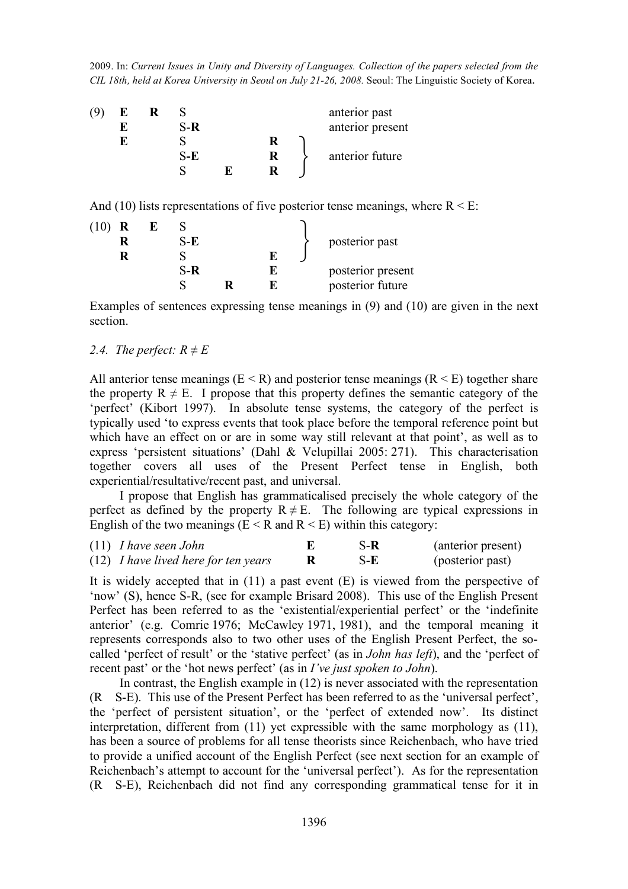| 19 | Е |       |  | anterior past    |
|----|---|-------|--|------------------|
|    |   | $S-R$ |  | anterior present |
|    | Ю |       |  |                  |
|    |   | S-E   |  | anterior future  |
|    |   |       |  |                  |
|    |   |       |  |                  |

And (10) lists representations of five posterior tense meanings, where  $R \le E$ :

| $(10)$ R | S-E   |   | posterior past    |
|----------|-------|---|-------------------|
|          | $S-R$ | E | posterior present |
|          |       |   | posterior future  |

Examples of sentences expressing tense meanings in (9) and (10) are given in the next section.

# *2.4. The perfect:*  $R \neq E$

All anterior tense meanings ( $E \le R$ ) and posterior tense meanings ( $R \le E$ ) together share the property  $R \neq E$ . I propose that this property defines the semantic category of the 'perfect' (Kibort 1997). In absolute tense systems, the category of the perfect is typically used 'to express events that took place before the temporal reference point but which have an effect on or are in some way still relevant at that point', as well as to express 'persistent situations' (Dahl & Velupillai 2005: 271). This characterisation together covers all uses of the Present Perfect tense in English, both experiential/resultative/recent past, and universal.

I propose that English has grammaticalised precisely the whole category of the perfect as defined by the property  $R \neq E$ . The following are typical expressions in English of the two meanings ( $E < R$  and  $R < E$ ) within this category:

| $(11)$ <i>I have seen John</i>                | S-R | (anterior present) |
|-----------------------------------------------|-----|--------------------|
| $(12)$ <i>I have lived here for ten years</i> | S-E | (posterior past)   |

It is widely accepted that in (11) a past event (E) is viewed from the perspective of 'now' (S), hence S-R, (see for example Brisard 2008). This use of the English Present Perfect has been referred to as the 'existential/experiential perfect' or the 'indefinite anterior' (e.g. Comrie 1976; McCawley 1971, 1981), and the temporal meaning it represents corresponds also to two other uses of the English Present Perfect, the socalled 'perfect of result' or the 'stative perfect' (as in *John has left*), and the 'perfect of recent past' or the 'hot news perfect' (as in *I've just spoken to John*).

In contrast, the English example in (12) is never associated with the representation (R S-E). This use of the Present Perfect has been referred to as the 'universal perfect', the 'perfect of persistent situation', or the 'perfect of extended now'. Its distinct interpretation, different from (11) yet expressible with the same morphology as (11), has been a source of problems for all tense theorists since Reichenbach, who have tried to provide a unified account of the English Perfect (see next section for an example of Reichenbach's attempt to account for the 'universal perfect'). As for the representation (R S-E), Reichenbach did not find any corresponding grammatical tense for it in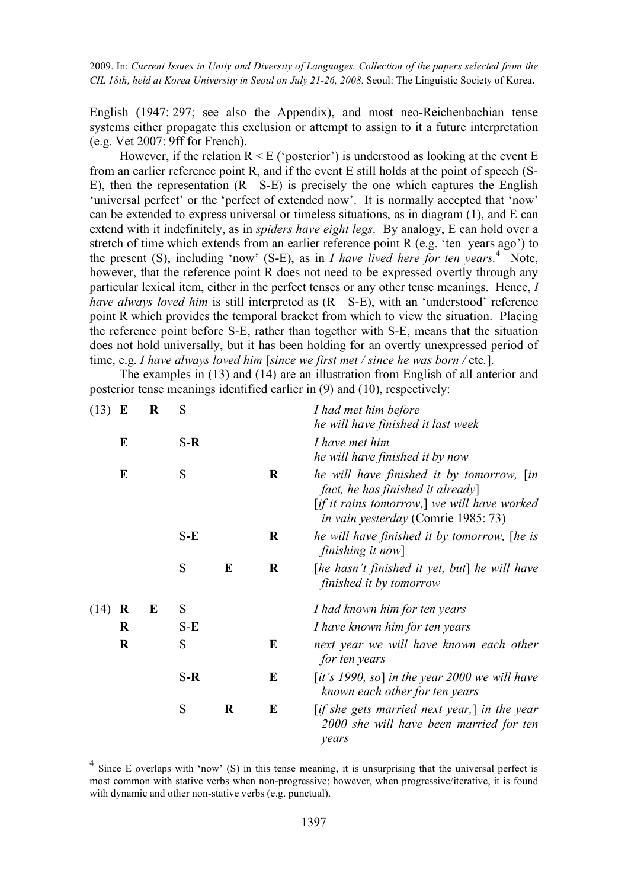English (1947: 297; see also the Appendix), and most neo-Reichenbachian tense systems either propagate this exclusion or attempt to assign to it a future interpretation (e.g. Vet 2007: 9ff for French).

However, if the relation  $R \le E$  ('posterior') is understood as looking at the event E from an earlier reference point R, and if the event E still holds at the point of speech (S-E), then the representation (R S-E) is precisely the one which captures the English 'universal perfect' or the 'perfect of extended now'. It is normally accepted that 'now' can be extended to express universal or timeless situations, as in diagram (1), and E can extend with it indefinitely, as in *spiders have eight legs*. By analogy, E can hold over a stretch of time which extends from an earlier reference point R (e.g. 'ten years ago') to the present  $(S)$ , including 'now'  $(S-E)$ , as in *I have lived here for ten years*.<sup>4</sup> Note, however, that the reference point R does not need to be expressed overtly through any particular lexical item, either in the perfect tenses or any other tense meanings. Hence, *I have always loved him* is still interpreted as (R S-E), with an 'understood' reference point R which provides the temporal bracket from which to view the situation. Placing the reference point before S-E, rather than together with S-E, means that the situation does not hold universally, but it has been holding for an overtly unexpressed period of time, e.g. *I have always loved him* [*since we first met / since he was born /* etc*.*].

The examples in (13) and (14) are an illustration from English of all anterior and posterior tense meanings identified earlier in (9) and (10), respectively:

| (13) | $\bf{E}$ | S<br>R |       |         |         | I had met him before<br>he will have finished it last week                                                                                                                 |
|------|----------|--------|-------|---------|---------|----------------------------------------------------------------------------------------------------------------------------------------------------------------------------|
|      | E        |        | $S-R$ |         |         | I have met him<br>he will have finished it by now                                                                                                                          |
|      | E        |        | S     |         | $\bf R$ | he will have finished it by tomorrow, [in<br>fact, he has finished it already<br>[if it rains tomorrow,] we will have worked<br><i>in vain yesterday</i> (Comrie 1985: 73) |
|      |          |        | $S-E$ |         | $\bf R$ | he will have finished it by tomorrow, [he is<br>finishing it now                                                                                                           |
|      |          |        | S     | E       | $\bf R$ | [he hasn't finished it yet, but] he will have<br>finished it by tomorrow                                                                                                   |
| (14) | R        | E      | S     |         |         | I had known him for ten years                                                                                                                                              |
|      | $\bf{R}$ |        | $S-E$ |         |         | I have known him for ten years                                                                                                                                             |
|      | $\bf R$  |        | S     |         | E       | next year we will have known each other<br>for ten years                                                                                                                   |
|      |          |        | $S-R$ |         | E       | [it's 1990, so] in the year 2000 we will have<br>known each other for ten years                                                                                            |
|      |          |        | S     | $\bf R$ | E       | [if she gets married next year,] in the year<br>2000 she will have been married for ten<br>years                                                                           |

<sup>&</sup>lt;sup>4</sup> Since E overlaps with 'now' (S) in this tense meaning, it is unsurprising that the universal perfect is most common with stative verbs when non-progressive; however, when progressive/iterative, it is found with dynamic and other non-stative verbs (e.g. punctual).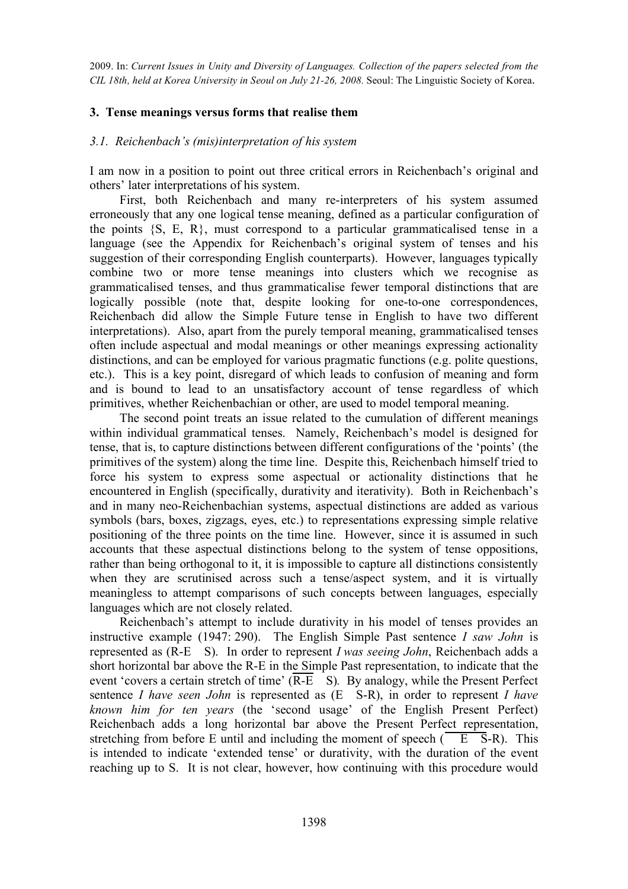# **3. Tense meanings versus forms that realise them**

# *3.1. Reichenbach's (mis)interpretation of his system*

I am now in a position to point out three critical errors in Reichenbach's original and others' later interpretations of his system.

First, both Reichenbach and many re-interpreters of his system assumed erroneously that any one logical tense meaning, defined as a particular configuration of the points  $\{S, E, R\}$ , must correspond to a particular grammaticalised tense in a language (see the Appendix for Reichenbach's original system of tenses and his suggestion of their corresponding English counterparts). However, languages typically combine two or more tense meanings into clusters which we recognise as grammaticalised tenses, and thus grammaticalise fewer temporal distinctions that are logically possible (note that, despite looking for one-to-one correspondences, Reichenbach did allow the Simple Future tense in English to have two different interpretations). Also, apart from the purely temporal meaning, grammaticalised tenses often include aspectual and modal meanings or other meanings expressing actionality distinctions, and can be employed for various pragmatic functions (e.g. polite questions, etc.). This is a key point, disregard of which leads to confusion of meaning and form and is bound to lead to an unsatisfactory account of tense regardless of which primitives, whether Reichenbachian or other, are used to model temporal meaning.

The second point treats an issue related to the cumulation of different meanings within individual grammatical tenses. Namely, Reichenbach's model is designed for tense, that is, to capture distinctions between different configurations of the 'points' (the primitives of the system) along the time line. Despite this, Reichenbach himself tried to force his system to express some aspectual or actionality distinctions that he encountered in English (specifically, durativity and iterativity). Both in Reichenbach's and in many neo-Reichenbachian systems, aspectual distinctions are added as various symbols (bars, boxes, zigzags, eyes, etc.) to representations expressing simple relative positioning of the three points on the time line. However, since it is assumed in such accounts that these aspectual distinctions belong to the system of tense oppositions, rather than being orthogonal to it, it is impossible to capture all distinctions consistently when they are scrutinised across such a tense/aspect system, and it is virtually meaningless to attempt comparisons of such concepts between languages, especially languages which are not closely related.

Reichenbach's attempt to include durativity in his model of tenses provides an instructive example (1947: 290). The English Simple Past sentence *I saw John* is represented as (R-E S). In order to represent *I was seeing John*, Reichenbach adds a short horizontal bar above the R-E in the Simple Past representation, to indicate that the event 'covers a certain stretch of time' (R-E S)*.* By analogy, while the Present Perfect sentence *I have seen John* is represented as (E S-R), in order to represent *I have known him for ten years* (the 'second usage' of the English Present Perfect) Reichenbach adds a long horizontal bar above the Present Perfect representation, stretching from before E until and including the moment of speech  $(\overline{E \cdot S}-R)$ . This is intended to indicate 'extended tense' or durativity, with the duration of the event reaching up to S. It is not clear, however, how continuing with this procedure would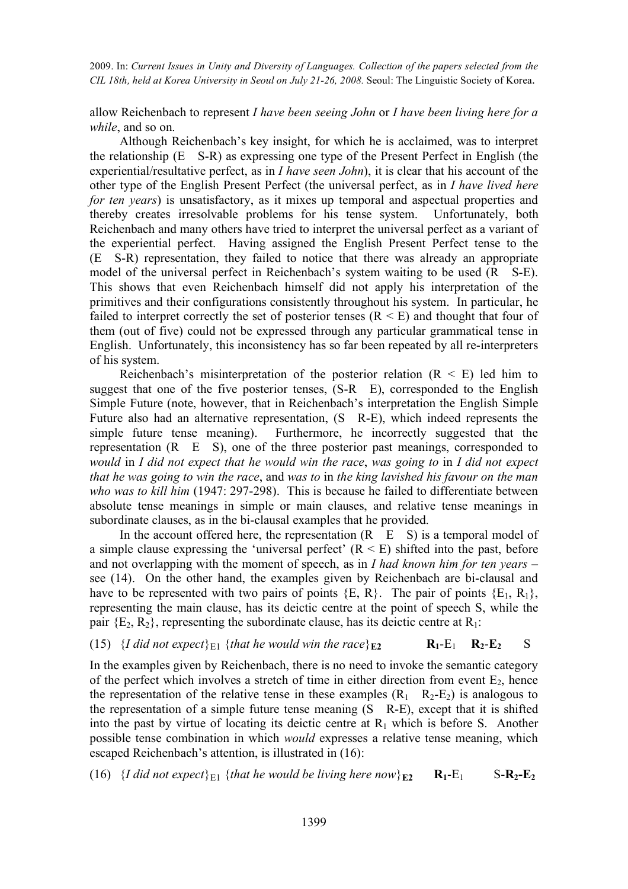allow Reichenbach to represent *I have been seeing John* or *I have been living here for a while*, and so on.

Although Reichenbach's key insight, for which he is acclaimed, was to interpret the relationship (E S-R) as expressing one type of the Present Perfect in English (the experiential/resultative perfect, as in *I have seen John*), it is clear that his account of the other type of the English Present Perfect (the universal perfect, as in *I have lived here for ten years*) is unsatisfactory, as it mixes up temporal and aspectual properties and thereby creates irresolvable problems for his tense system. Unfortunately, both Reichenbach and many others have tried to interpret the universal perfect as a variant of the experiential perfect. Having assigned the English Present Perfect tense to the (E S-R) representation, they failed to notice that there was already an appropriate model of the universal perfect in Reichenbach's system waiting to be used (R S-E). This shows that even Reichenbach himself did not apply his interpretation of the primitives and their configurations consistently throughout his system. In particular, he failed to interpret correctly the set of posterior tenses  $(R \le E)$  and thought that four of them (out of five) could not be expressed through any particular grammatical tense in English. Unfortunately, this inconsistency has so far been repeated by all re-interpreters of his system.

Reichenbach's misinterpretation of the posterior relation  $(R \le E)$  led him to suggest that one of the five posterior tenses, (S-R E), corresponded to the English Simple Future (note, however, that in Reichenbach's interpretation the English Simple Future also had an alternative representation, (S R-E), which indeed represents the simple future tense meaning). Furthermore, he incorrectly suggested that the representation (R E S), one of the three posterior past meanings, corresponded to *would* in *I did not expect that he would win the race*, *was going to* in *I did not expect that he was going to win the race*, and *was to* in *the king lavished his favour on the man who was to kill him* (1947: 297-298). This is because he failed to differentiate between absolute tense meanings in simple or main clauses, and relative tense meanings in subordinate clauses, as in the bi-clausal examples that he provided.

In the account offered here, the representation  $(R \t E \t S)$  is a temporal model of a simple clause expressing the 'universal perfect'  $(R \le E)$  shifted into the past, before and not overlapping with the moment of speech, as in *I had known him for ten years* – see (14). On the other hand, the examples given by Reichenbach are bi-clausal and have to be represented with two pairs of points  $\{E, R\}$ . The pair of points  $\{E_1, R_1\}$ , representing the main clause, has its deictic centre at the point of speech S, while the pair  ${E_2, R_2}$ , representing the subordinate clause, has its deictic centre at  $R_1$ :

(15) {*I did not expect*}<sub>E1</sub> {*that he would win the race*} $_{E2}$  **R**<sub>1</sub>-E<sub>1</sub> **R**<sub>2</sub>-**E**<sub>2</sub> S

In the examples given by Reichenbach, there is no need to invoke the semantic category of the perfect which involves a stretch of time in either direction from event  $E_2$ , hence the representation of the relative tense in these examples  $(R_1 \ R_2-E_2)$  is analogous to the representation of a simple future tense meaning (S R-E), except that it is shifted into the past by virtue of locating its deictic centre at  $R_1$  which is before S. Another possible tense combination in which *would* expresses a relative tense meaning, which escaped Reichenbach's attention, is illustrated in (16):

(16) {*I did not expect*}<sub>E1</sub> {*that he would be living here now*}<sub>E2</sub>  $\mathbf{R}_1$ -E<sub>1</sub> S- $\mathbf{R}_2$ -E<sub>2</sub>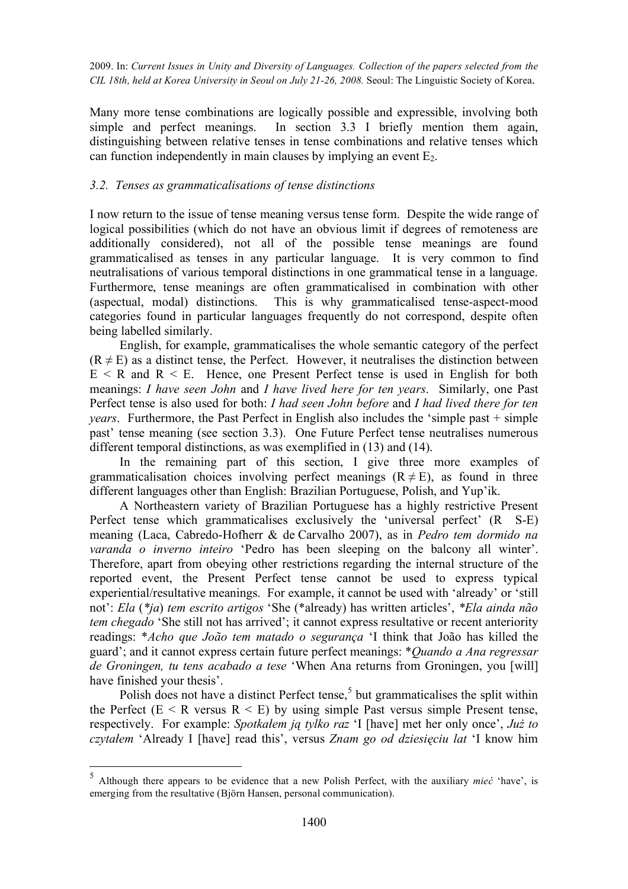Many more tense combinations are logically possible and expressible, involving both simple and perfect meanings. In section 3.3 I briefly mention them again, distinguishing between relative tenses in tense combinations and relative tenses which can function independently in main clauses by implying an event  $E_2$ .

# *3.2. Tenses as grammaticalisations of tense distinctions*

I now return to the issue of tense meaning versus tense form. Despite the wide range of logical possibilities (which do not have an obvious limit if degrees of remoteness are additionally considered), not all of the possible tense meanings are found grammaticalised as tenses in any particular language. It is very common to find neutralisations of various temporal distinctions in one grammatical tense in a language. Furthermore, tense meanings are often grammaticalised in combination with other (aspectual, modal) distinctions. This is why grammaticalised tense-aspect-mood categories found in particular languages frequently do not correspond, despite often being labelled similarly.

English, for example, grammaticalises the whole semantic category of the perfect  $(R \neq E)$  as a distinct tense, the Perfect. However, it neutralises the distinction between  $E \le R$  and  $R \le E$ . Hence, one Present Perfect tense is used in English for both meanings: *I have seen John* and *I have lived here for ten years*. Similarly, one Past Perfect tense is also used for both: *I had seen John before* and *I had lived there for ten years*. Furthermore, the Past Perfect in English also includes the 'simple past + simple past' tense meaning (see section 3.3). One Future Perfect tense neutralises numerous different temporal distinctions, as was exemplified in (13) and (14).

In the remaining part of this section, I give three more examples of grammaticalisation choices involving perfect meanings  $(R \neq E)$ , as found in three different languages other than English: Brazilian Portuguese, Polish, and Yup'ik.

A Northeastern variety of Brazilian Portuguese has a highly restrictive Present Perfect tense which grammaticalises exclusively the 'universal perfect' (R S-E) meaning (Laca, Cabredo-Hofherr & de Carvalho 2007), as in *Pedro tem dormido na varanda o inverno inteiro* 'Pedro has been sleeping on the balcony all winter'. Therefore, apart from obeying other restrictions regarding the internal structure of the reported event, the Present Perfect tense cannot be used to express typical experiential/resultative meanings. For example, it cannot be used with 'already' or 'still not': *Ela* (*\*ja*) *tem escrito artigos* 'She (\*already) has written articles', *\*Ela ainda não tem chegado* 'She still not has arrived'; it cannot express resultative or recent anteriority readings: \**Acho que João tem matado o segurança* 'I think that João has killed the guard'; and it cannot express certain future perfect meanings: \**Quando a Ana regressar de Groningen, tu tens acabado a tese* 'When Ana returns from Groningen, you [will] have finished your thesis'.

Polish does not have a distinct Perfect tense,<sup>5</sup> but grammaticalises the split within the Perfect ( $E \le R$  versus  $R \le E$ ) by using simple Past versus simple Present tense, respectively. For example: *Spotkałem ją tylko raz* 'I [have] met her only once', *Już to czytałem* 'Already I [have] read this', versus *Znam go od dziesięciu lat* 'I know him

 <sup>5</sup> Although there appears to be evidence that a new Polish Perfect, with the auxiliary *mieć* 'have', is emerging from the resultative (Björn Hansen, personal communication).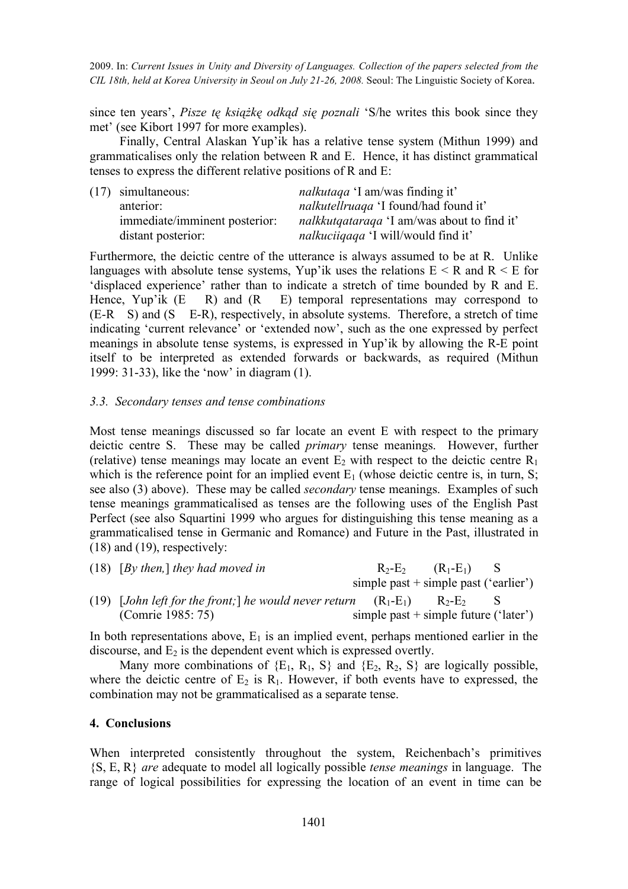since ten years', *Pisze tę książkę odkąd się poznali* 'S/he writes this book since they met' (see Kibort 1997 for more examples).

Finally, Central Alaskan Yup'ik has a relative tense system (Mithun 1999) and grammaticalises only the relation between R and E. Hence, it has distinct grammatical tenses to express the different relative positions of R and E:

| $(17)$ simultaneous:          | <i>nalkutaga</i> 'I am/was finding it'             |
|-------------------------------|----------------------------------------------------|
| anterior:                     | <i>nalkutellruaga</i> 'I found/had found it'       |
| immediate/imminent posterior: | <i>nalkkutqataraqa</i> 'I am/was about to find it' |
| distant posterior:            | <i>nalkuciiqaqa</i> 'I will/would find it'         |

Furthermore, the deictic centre of the utterance is always assumed to be at R. Unlike languages with absolute tense systems, Yup'ik uses the relations  $E < R$  and  $R < E$  for 'displaced experience' rather than to indicate a stretch of time bounded by R and E. Hence, Yup'ik  $(E \t R)$  and  $(R \t E)$  temporal representations may correspond to (E-R S) and (S E-R), respectively, in absolute systems. Therefore, a stretch of time indicating 'current relevance' or 'extended now', such as the one expressed by perfect meanings in absolute tense systems, is expressed in Yup'ik by allowing the R-E point itself to be interpreted as extended forwards or backwards, as required (Mithun 1999: 31-33), like the 'now' in diagram (1).

### *3.3. Secondary tenses and tense combinations*

Most tense meanings discussed so far locate an event E with respect to the primary deictic centre S. These may be called *primary* tense meanings. However, further (relative) tense meanings may locate an event  $E_2$  with respect to the deictic centre  $R_1$ which is the reference point for an implied event  $E_1$  (whose deictic centre is, in turn, S; see also (3) above). These may be called *secondary* tense meanings. Examples of such tense meanings grammaticalised as tenses are the following uses of the English Past Perfect (see also Squartini 1999 who argues for distinguishing this tense meaning as a grammaticalised tense in Germanic and Romance) and Future in the Past, illustrated in (18) and (19), respectively:

| $(18)$ [By then,] they had moved in                                        |  | $R_2-E_2$ $(R_1-E_1)$ S                 |  |
|----------------------------------------------------------------------------|--|-----------------------------------------|--|
|                                                                            |  | simple past $+$ simple past ('earlier') |  |
| (19) [John left for the front; he would never return $(R_1-E_1)$ $R_2-E_2$ |  |                                         |  |
| (Comrie 1985: 75)                                                          |  | simple past $+$ simple future ('later') |  |

In both representations above,  $E_1$  is an implied event, perhaps mentioned earlier in the discourse, and  $E_2$  is the dependent event which is expressed overtly.

Many more combinations of  ${E_1, R_1, S}$  and  ${E_2, R_2, S}$  are logically possible, where the deictic centre of  $E_2$  is  $R_1$ . However, if both events have to expressed, the combination may not be grammaticalised as a separate tense.

#### **4. Conclusions**

When interpreted consistently throughout the system, Reichenbach's primitives {S, E, R} *are* adequate to model all logically possible *tense meanings* in language. The range of logical possibilities for expressing the location of an event in time can be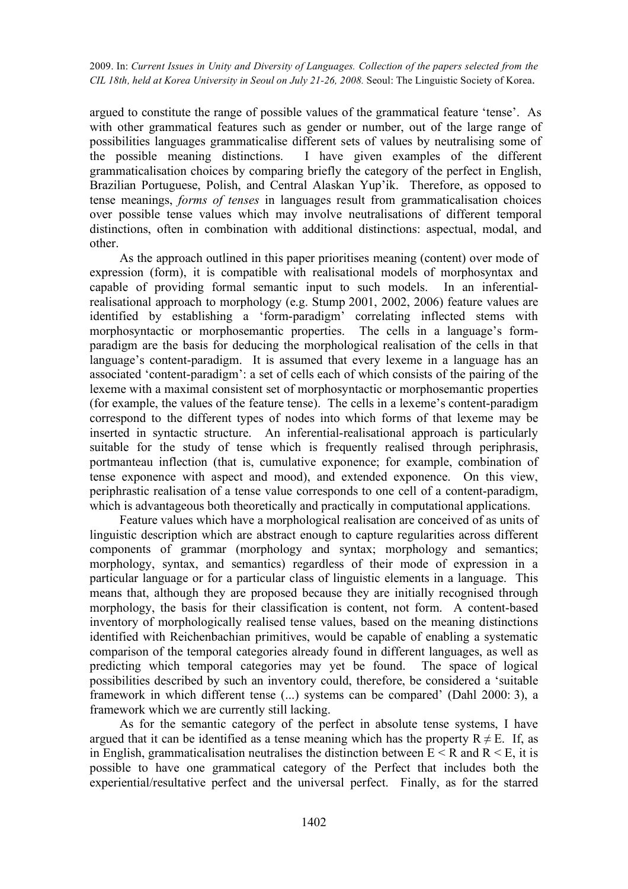argued to constitute the range of possible values of the grammatical feature 'tense'. As with other grammatical features such as gender or number, out of the large range of possibilities languages grammaticalise different sets of values by neutralising some of the possible meaning distinctions. I have given examples of the different grammaticalisation choices by comparing briefly the category of the perfect in English, Brazilian Portuguese, Polish, and Central Alaskan Yup'ik. Therefore, as opposed to tense meanings, *forms of tenses* in languages result from grammaticalisation choices over possible tense values which may involve neutralisations of different temporal distinctions, often in combination with additional distinctions: aspectual, modal, and other.

As the approach outlined in this paper prioritises meaning (content) over mode of expression (form), it is compatible with realisational models of morphosyntax and capable of providing formal semantic input to such models. In an inferentialrealisational approach to morphology (e.g. Stump 2001, 2002, 2006) feature values are identified by establishing a 'form-paradigm' correlating inflected stems with morphosyntactic or morphosemantic properties. The cells in a language's formparadigm are the basis for deducing the morphological realisation of the cells in that language's content-paradigm. It is assumed that every lexeme in a language has an associated 'content-paradigm': a set of cells each of which consists of the pairing of the lexeme with a maximal consistent set of morphosyntactic or morphosemantic properties (for example, the values of the feature tense). The cells in a lexeme's content-paradigm correspond to the different types of nodes into which forms of that lexeme may be inserted in syntactic structure. An inferential-realisational approach is particularly suitable for the study of tense which is frequently realised through periphrasis, portmanteau inflection (that is, cumulative exponence; for example, combination of tense exponence with aspect and mood), and extended exponence. On this view, periphrastic realisation of a tense value corresponds to one cell of a content-paradigm, which is advantageous both theoretically and practically in computational applications.

Feature values which have a morphological realisation are conceived of as units of linguistic description which are abstract enough to capture regularities across different components of grammar (morphology and syntax; morphology and semantics; morphology, syntax, and semantics) regardless of their mode of expression in a particular language or for a particular class of linguistic elements in a language. This means that, although they are proposed because they are initially recognised through morphology, the basis for their classification is content, not form. A content-based inventory of morphologically realised tense values, based on the meaning distinctions identified with Reichenbachian primitives, would be capable of enabling a systematic comparison of the temporal categories already found in different languages, as well as predicting which temporal categories may yet be found. The space of logical possibilities described by such an inventory could, therefore, be considered a 'suitable framework in which different tense (...) systems can be compared' (Dahl 2000: 3), a framework which we are currently still lacking.

As for the semantic category of the perfect in absolute tense systems, I have argued that it can be identified as a tense meaning which has the property  $R \neq E$ . If, as in English, grammaticalisation neutralises the distinction between  $E < R$  and  $R < E$ , it is possible to have one grammatical category of the Perfect that includes both the experiential/resultative perfect and the universal perfect. Finally, as for the starred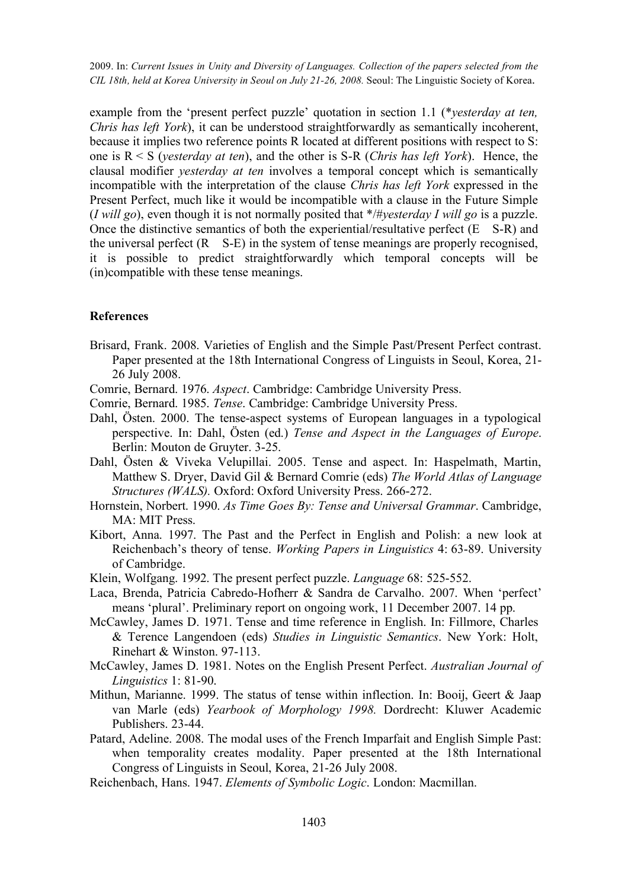example from the 'present perfect puzzle' quotation in section 1.1 (\**yesterday at ten, Chris has left York*), it can be understood straightforwardly as semantically incoherent, because it implies two reference points R located at different positions with respect to S: one is R < S (*yesterday at ten*), and the other is S-R (*Chris has left York*). Hence, the clausal modifier *yesterday at ten* involves a temporal concept which is semantically incompatible with the interpretation of the clause *Chris has left York* expressed in the Present Perfect, much like it would be incompatible with a clause in the Future Simple (*I will go*), even though it is not normally posited that \*/#*yesterday I will go* is a puzzle. Once the distinctive semantics of both the experiential/resultative perfect  $(E \ S-R)$  and the universal perfect (R S-E) in the system of tense meanings are properly recognised, it is possible to predict straightforwardly which temporal concepts will be (in)compatible with these tense meanings.

### **References**

- Brisard, Frank. 2008. Varieties of English and the Simple Past/Present Perfect contrast. Paper presented at the 18th International Congress of Linguists in Seoul, Korea, 21- 26 July 2008.
- Comrie, Bernard. 1976. *Aspect*. Cambridge: Cambridge University Press.
- Comrie, Bernard. 1985. *Tense*. Cambridge: Cambridge University Press.
- Dahl, Östen. 2000. The tense-aspect systems of European languages in a typological perspective. In: Dahl, Östen (ed.) *Tense and Aspect in the Languages of Europe*. Berlin: Mouton de Gruyter. 3-25.
- Dahl, Östen & Viveka Velupillai. 2005. Tense and aspect. In: Haspelmath, Martin, Matthew S. Dryer, David Gil & Bernard Comrie (eds) *The World Atlas of Language Structures (WALS).* Oxford: Oxford University Press. 266-272.
- Hornstein, Norbert. 1990. *As Time Goes By: Tense and Universal Grammar*. Cambridge, MA: MIT Press.
- Kibort, Anna. 1997. The Past and the Perfect in English and Polish: a new look at Reichenbach's theory of tense. *Working Papers in Linguistics* 4: 63-89. University of Cambridge.
- Klein, Wolfgang. 1992. The present perfect puzzle. *Language* 68: 525-552.
- Laca, Brenda, Patricia Cabredo-Hofherr & Sandra de Carvalho. 2007. When 'perfect' means 'plural'. Preliminary report on ongoing work, 11 December 2007. 14 pp.
- McCawley, James D. 1971. Tense and time reference in English. In: Fillmore, Charles & Terence Langendoen (eds) *Studies in Linguistic Semantics*. New York: Holt, Rinehart & Winston. 97-113.
- McCawley, James D. 1981. Notes on the English Present Perfect. *Australian Journal of Linguistics* 1: 81-90.
- Mithun, Marianne. 1999. The status of tense within inflection. In: Booij, Geert & Jaap van Marle (eds) *Yearbook of Morphology 1998.* Dordrecht: Kluwer Academic Publishers. 23-44.
- Patard, Adeline. 2008. The modal uses of the French Imparfait and English Simple Past: when temporality creates modality. Paper presented at the 18th International Congress of Linguists in Seoul, Korea, 21-26 July 2008.
- Reichenbach, Hans. 1947. *Elements of Symbolic Logic*. London: Macmillan.